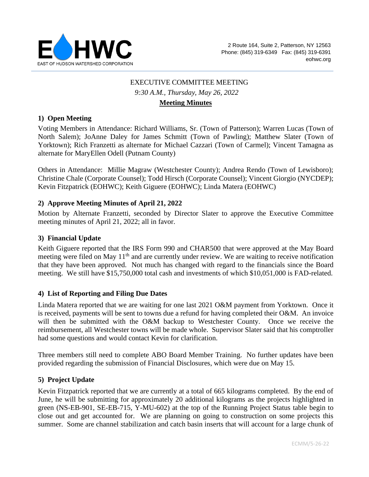

# EXECUTIVE COMMITTEE MEETING *9:30 A.M., Thursday, May 26, 2022* **Meeting Minutes**

### **1) Open Meeting**

Voting Members in Attendance: Richard Williams, Sr. (Town of Patterson); Warren Lucas (Town of North Salem); JoAnne Daley for James Schmitt (Town of Pawling); Matthew Slater (Town of Yorktown); Rich Franzetti as alternate for Michael Cazzari (Town of Carmel); Vincent Tamagna as alternate for MaryEllen Odell (Putnam County)

Others in Attendance: Millie Magraw (Westchester County); Andrea Rendo (Town of Lewisboro); Christine Chale (Corporate Counsel); Todd Hirsch (Corporate Counsel); Vincent Giorgio (NYCDEP); Kevin Fitzpatrick (EOHWC); Keith Giguere (EOHWC); Linda Matera (EOHWC)

### **2) Approve Meeting Minutes of April 21, 2022**

Motion by Alternate Franzetti, seconded by Director Slater to approve the Executive Committee meeting minutes of April 21, 2022; all in favor.

### **3) Financial Update**

Keith Giguere reported that the IRS Form 990 and CHAR500 that were approved at the May Board meeting were filed on May 11<sup>th</sup> and are currently under review. We are waiting to receive notification that they have been approved. Not much has changed with regard to the financials since the Board meeting. We still have \$15,750,000 total cash and investments of which \$10,051,000 is FAD-related.

### **4) List of Reporting and Filing Due Dates**

Linda Matera reported that we are waiting for one last 2021 O&M payment from Yorktown. Once it is received, payments will be sent to towns due a refund for having completed their O&M. An invoice will then be submitted with the O&M backup to Westchester County. Once we receive the reimbursement, all Westchester towns will be made whole. Supervisor Slater said that his comptroller had some questions and would contact Kevin for clarification.

Three members still need to complete ABO Board Member Training. No further updates have been provided regarding the submission of Financial Disclosures, which were due on May 15.

### **5) Project Update**

Kevin Fitzpatrick reported that we are currently at a total of 665 kilograms completed. By the end of June, he will be submitting for approximately 20 additional kilograms as the projects highlighted in green (NS-EB-901, SE-EB-715, Y-MU-602) at the top of the Running Project Status table begin to close out and get accounted for. We are planning on going to construction on some projects this summer. Some are channel stabilization and catch basin inserts that will account for a large chunk of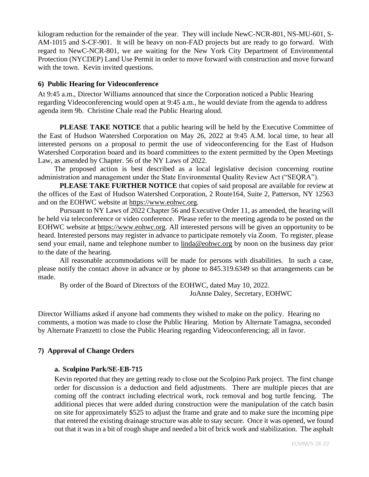kilogram reduction for the remainder of the year. They will include NewC-NCR-801, NS-MU-601, S-AM-1015 and S-CF-901. It will be heavy on non-FAD projects but are ready to go forward. With regard to NewC-NCR-801, we are waiting for the New York City Department of Environmental Protection (NYCDEP) Land Use Permit in order to move forward with construction and move forward with the town. Kevin invited questions.

### **6) Public Hearing for Videoconference**

At 9:45 a.m., Director Williams announced that since the Corporation noticed a Public Hearing regarding Videoconferencing would open at 9:45 a.m., he would deviate from the agenda to address agenda item 9b. Christine Chale read the Public Hearing aloud.

**PLEASE TAKE NOTICE** that a public hearing will be held by the Executive Committee of the East of Hudson Watershed Corporation on May 26, 2022 at 9:45 A.M. local time, to hear all interested persons on a proposal to permit the use of videoconferencing for the East of Hudson Watershed Corporation board and its board committees to the extent permitted by the Open Meetings Law, as amended by Chapter. 56 of the NY Laws of 2022.

The proposed action is best described as a local legislative decision concerning routine administration and management under the State Environmental Quality Review Act ("SEQRA").

**PLEASE TAKE FURTHER NOTICE** that copies of said proposal are available for review at the offices of the East of Hudson Watershed Corporation, 2 Route164, Suite 2, Patterson, NY 12563 and on the EOHWC website at [https://www.eohwc.org.](https://www.eohwc.org/)

Pursuant to NY Laws of 2022 Chapter 56 and Executive Order 11, as amended, the hearing will be held via teleconference or video conference. Please refer to the meeting agenda to be posted on the EOHWC website at [https://www.eohwc.org.](https://www.eohwc.org/) All interested persons will be given an opportunity to be heard. Interested persons may register in advance to participate remotely via Zoom. To register, please send your email, name and telephone number to [linda@eohwc.org](mailto:linda@eohwc.org) by noon on the business day prior to the date of the hearing.

All reasonable accommodations will be made for persons with disabilities. In such a case, please notify the contact above in advance or by phone to 845.319.6349 so that arrangements can be made.

By order of the Board of Directors of the EOHWC, dated May 10, 2022.

JoAnne Daley, Secretary, EOHWC

Director Williams asked if anyone had comments they wished to make on the policy. Hearing no comments, a motion was made to close the Public Hearing. Motion by Alternate Tamagna, seconded by Alternate Franzetti to close the Public Hearing regarding Videoconferencing; all in favor.

## **7) Approval of Change Orders**

## **a. Scolpino Park/SE-EB-715**

Kevin reported that they are getting ready to close out the Scolpino Park project. The first change order for discussion is a deduction and field adjustments. There are multiple pieces that are coming off the contract including electrical work, rock removal and bog turtle fencing. The additional pieces that were added during construction were the manipulation of the catch basin on site for approximately \$525 to adjust the frame and grate and to make sure the incoming pipe that entered the existing drainage structure was able to stay secure. Once it was opened, we found out that it was in a bit of rough shape and needed a bit of brick work and stabilization. The asphalt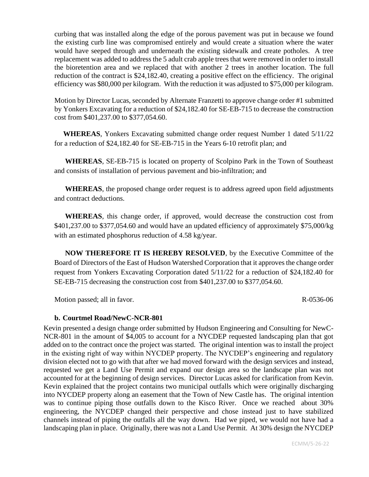curbing that was installed along the edge of the porous pavement was put in because we found the existing curb line was compromised entirely and would create a situation where the water would have seeped through and underneath the existing sidewalk and create potholes. A tree replacement was added to address the 5 adult crab apple trees that were removed in order to install the bioretention area and we replaced that with another 2 trees in another location. The full reduction of the contract is \$24,182.40, creating a positive effect on the efficiency. The original efficiency was \$80,000 per kilogram. With the reduction it was adjusted to \$75,000 per kilogram.

Motion by Director Lucas, seconded by Alternate Franzetti to approve change order #1 submitted by Yonkers Excavating for a reduction of \$24,182.40 for SE-EB-715 to decrease the construction cost from \$401,237.00 to \$377,054.60.

 **WHEREAS**, Yonkers Excavating submitted change order request Number 1 dated 5/11/22 for a reduction of \$24,182.40 for SE-EB-715 in the Years 6-10 retrofit plan; and

 **WHEREAS**, SE-EB-715 is located on property of Scolpino Park in the Town of Southeast and consists of installation of pervious pavement and bio-infiltration; and

 **WHEREAS**, the proposed change order request is to address agreed upon field adjustments and contract deductions.

 **WHEREAS**, this change order, if approved, would decrease the construction cost from \$401,237.00 to \$377,054.60 and would have an updated efficiency of approximately \$75,000/kg with an estimated phosphorus reduction of 4.58 kg/year.

 **NOW THEREFORE IT IS HEREBY RESOLVED**, by the Executive Committee of the Board of Directors of the East of Hudson Watershed Corporation that it approves the change order request from Yonkers Excavating Corporation dated 5/11/22 for a reduction of \$24,182.40 for SE-EB-715 decreasing the construction cost from \$401,237.00 to \$377,054.60.

Motion passed; all in favor. R-0536-06

# **b. Courtmel Road/NewC-NCR-801**

Kevin presented a design change order submitted by Hudson Engineering and Consulting for NewC-NCR-801 in the amount of \$4,005 to account for a NYCDEP requested landscaping plan that got added on to the contract once the project was started. The original intention was to install the project in the existing right of way within NYCDEP property. The NYCDEP's engineering and regulatory division elected not to go with that after we had moved forward with the design services and instead, requested we get a Land Use Permit and expand our design area so the landscape plan was not accounted for at the beginning of design services. Director Lucas asked for clarification from Kevin. Kevin explained that the project contains two municipal outfalls which were originally discharging into NYCDEP property along an easement that the Town of New Castle has. The original intention was to continue piping those outfalls down to the Kisco River. Once we reached about 30% engineering, the NYCDEP changed their perspective and chose instead just to have stabilized channels instead of piping the outfalls all the way down. Had we piped, we would not have had a landscaping plan in place. Originally, there was not a Land Use Permit. At 30% design the NYCDEP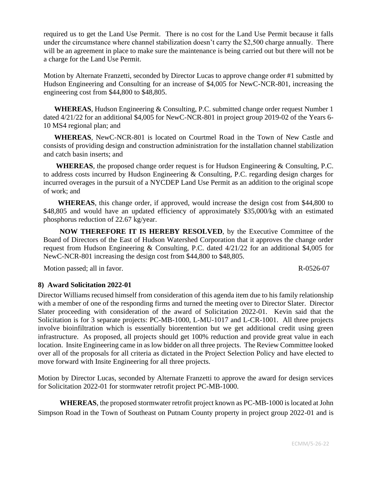required us to get the Land Use Permit. There is no cost for the Land Use Permit because it falls under the circumstance where channel stabilization doesn't carry the \$2,500 charge annually. There will be an agreement in place to make sure the maintenance is being carried out but there will not be a charge for the Land Use Permit.

Motion by Alternate Franzetti, seconded by Director Lucas to approve change order #1 submitted by Hudson Engineering and Consulting for an increase of \$4,005 for NewC-NCR-801, increasing the engineering cost from \$44,800 to \$48,805.

 **WHEREAS**, Hudson Engineering & Consulting, P.C. submitted change order request Number 1 dated 4/21/22 for an additional \$4,005 for NewC-NCR-801 in project group 2019-02 of the Years 6- 10 MS4 regional plan; and

 **WHEREAS**, NewC-NCR-801 is located on Courtmel Road in the Town of New Castle and consists of providing design and construction administration for the installation channel stabilization and catch basin inserts; and

 **WHEREAS**, the proposed change order request is for Hudson Engineering & Consulting, P.C. to address costs incurred by Hudson Engineering & Consulting, P.C. regarding design charges for incurred overages in the pursuit of a NYCDEP Land Use Permit as an addition to the original scope of work; and

 **WHEREAS**, this change order, if approved, would increase the design cost from \$44,800 to \$48,805 and would have an updated efficiency of approximately \$35,000/kg with an estimated phosphorus reduction of 22.67 kg/year.

 **NOW THEREFORE IT IS HEREBY RESOLVED**, by the Executive Committee of the Board of Directors of the East of Hudson Watershed Corporation that it approves the change order request from Hudson Engineering & Consulting, P.C. dated 4/21/22 for an additional \$4,005 for NewC-NCR-801 increasing the design cost from \$44,800 to \$48,805.

Motion passed; all in favor. R-0526-07

## **8) Award Solicitation 2022-01**

Director Williams recused himself from consideration of this agenda item due to his family relationship with a member of one of the responding firms and turned the meeting over to Director Slater. Director Slater proceeding with consideration of the award of Solicitation 2022-01. Kevin said that the Solicitation is for 3 separate projects: PC-MB-1000, L-MU-1017 and L-CR-1001. All three projects involve bioinfiltration which is essentially biorentention but we get additional credit using green infrastructure. As proposed, all projects should get 100% reduction and provide great value in each location. Insite Engineering came in as low bidder on all three projects. The Review Committee looked over all of the proposals for all criteria as dictated in the Project Selection Policy and have elected to move forward with Insite Engineering for all three projects.

Motion by Director Lucas, seconded by Alternate Franzetti to approve the award for design services for Solicitation 2022-01 for stormwater retrofit project PC-MB-1000.

**WHEREAS**, the proposed stormwater retrofit project known as PC-MB-1000 is located at John Simpson Road in the Town of Southeast on Putnam County property in project group 2022-01 and is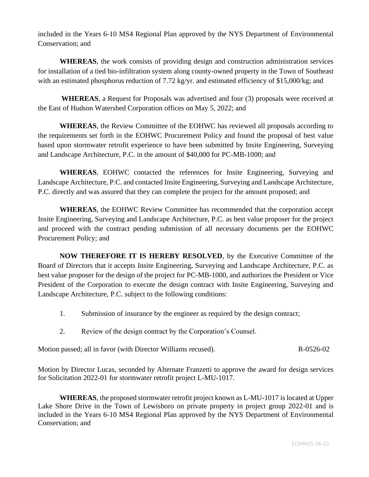included in the Years 6-10 MS4 Regional Plan approved by the NYS Department of Environmental Conservation; and

**WHEREAS**, the work consists of providing design and construction administration services for installation of a tied bio-infiltration system along county-owned property in the Town of Southeast with an estimated phosphorus reduction of 7.72 kg/yr. and estimated efficiency of \$15,000/kg; and

**WHEREAS**, a Request for Proposals was advertised and four (3) proposals were received at the East of Hudson Watershed Corporation offices on May 5, 2022; and

**WHEREAS**, the Review Committee of the EOHWC has reviewed all proposals according to the requirements set forth in the EOHWC Procurement Policy and found the proposal of best value based upon stormwater retrofit experience to have been submitted by Insite Engineering, Surveying and Landscape Architecture, P.C. in the amount of \$40,000 for PC-MB-1000; and

**WHEREAS**, EOHWC contacted the references for Insite Engineering, Surveying and Landscape Architecture, P.C. and contacted Insite Engineering, Surveying and Landscape Architecture, P.C. directly and was assured that they can complete the project for the amount proposed; and

**WHEREAS**, the EOHWC Review Committee has recommended that the corporation accept Insite Engineering, Surveying and Landscape Architecture, P.C. as best value proposer for the project and proceed with the contract pending submission of all necessary documents per the EOHWC Procurement Policy; and

**NOW THEREFORE IT IS HEREBY RESOLVED**, by the Executive Committee of the Board of Directors that it accepts Insite Engineering, Surveying and Landscape Architecture, P.C. as best value proposer for the design of the project for PC-MB-1000, and authorizes the President or Vice President of the Corporation to execute the design contract with Insite Engineering, Surveying and Landscape Architecture, P.C. subject to the following conditions:

- 1. Submission of insurance by the engineer as required by the design contract;
- 2. Review of the design contract by the Corporation's Counsel.

Motion passed; all in favor (with Director Williams recused). R-0526-02

Motion by Director Lucas, seconded by Alternate Franzetti to approve the award for design services for Solicitation 2022-01 for stormwater retrofit project L-MU-1017.

 **WHEREAS**, the proposed stormwater retrofit project known as L-MU-1017 is located at Upper Lake Shore Drive in the Town of Lewisboro on private property in project group 2022-01 and is included in the Years 6-10 MS4 Regional Plan approved by the NYS Department of Environmental Conservation; and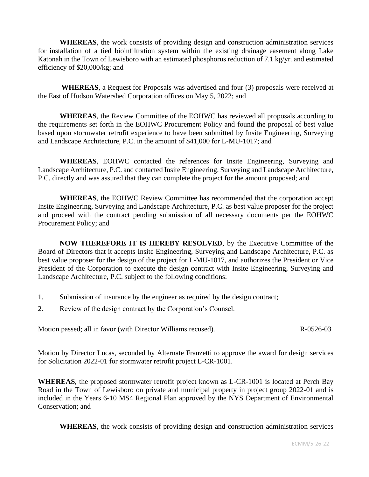**WHEREAS**, the work consists of providing design and construction administration services for installation of a tied bioinfiltration system within the existing drainage easement along Lake Katonah in the Town of Lewisboro with an estimated phosphorus reduction of 7.1 kg/yr. and estimated efficiency of \$20,000/kg; and

**WHEREAS**, a Request for Proposals was advertised and four (3) proposals were received at the East of Hudson Watershed Corporation offices on May 5, 2022; and

**WHEREAS**, the Review Committee of the EOHWC has reviewed all proposals according to the requirements set forth in the EOHWC Procurement Policy and found the proposal of best value based upon stormwater retrofit experience to have been submitted by Insite Engineering, Surveying and Landscape Architecture, P.C. in the amount of \$41,000 for L-MU-1017; and

**WHEREAS**, EOHWC contacted the references for Insite Engineering, Surveying and Landscape Architecture, P.C. and contacted Insite Engineering, Surveying and Landscape Architecture, P.C. directly and was assured that they can complete the project for the amount proposed; and

**WHEREAS**, the EOHWC Review Committee has recommended that the corporation accept Insite Engineering, Surveying and Landscape Architecture, P.C. as best value proposer for the project and proceed with the contract pending submission of all necessary documents per the EOHWC Procurement Policy; and

**NOW THEREFORE IT IS HEREBY RESOLVED**, by the Executive Committee of the Board of Directors that it accepts Insite Engineering, Surveying and Landscape Architecture, P.C. as best value proposer for the design of the project for L-MU-1017, and authorizes the President or Vice President of the Corporation to execute the design contract with Insite Engineering, Surveying and Landscape Architecture, P.C. subject to the following conditions:

- 1. Submission of insurance by the engineer as required by the design contract;
- 2. Review of the design contract by the Corporation's Counsel.

Motion passed; all in favor (with Director Williams recused).. R-0526-03

Motion by Director Lucas, seconded by Alternate Franzetti to approve the award for design services for Solicitation 2022-01 for stormwater retrofit project L-CR-1001.

**WHEREAS**, the proposed stormwater retrofit project known as L-CR-1001 is located at Perch Bay Road in the Town of Lewisboro on private and municipal property in project group 2022-01 and is included in the Years 6-10 MS4 Regional Plan approved by the NYS Department of Environmental Conservation; and

**WHEREAS**, the work consists of providing design and construction administration services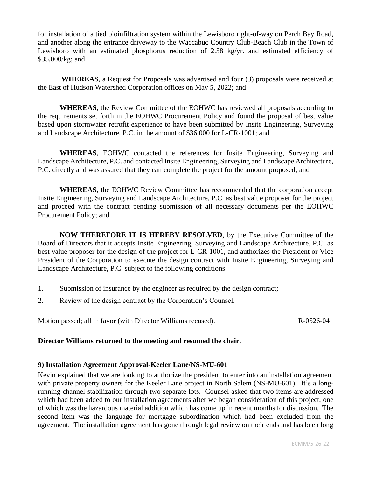for installation of a tied bioinfiltration system within the Lewisboro right-of-way on Perch Bay Road, and another along the entrance driveway to the Waccabuc Country Club-Beach Club in the Town of Lewisboro with an estimated phosphorus reduction of 2.58 kg/yr. and estimated efficiency of \$35,000/kg; and

**WHEREAS**, a Request for Proposals was advertised and four (3) proposals were received at the East of Hudson Watershed Corporation offices on May 5, 2022; and

**WHEREAS**, the Review Committee of the EOHWC has reviewed all proposals according to the requirements set forth in the EOHWC Procurement Policy and found the proposal of best value based upon stormwater retrofit experience to have been submitted by Insite Engineering, Surveying and Landscape Architecture, P.C. in the amount of \$36,000 for L-CR-1001; and

**WHEREAS**, EOHWC contacted the references for Insite Engineering, Surveying and Landscape Architecture, P.C. and contacted Insite Engineering, Surveying and Landscape Architecture, P.C. directly and was assured that they can complete the project for the amount proposed; and

**WHEREAS**, the EOHWC Review Committee has recommended that the corporation accept Insite Engineering, Surveying and Landscape Architecture, P.C. as best value proposer for the project and proceed with the contract pending submission of all necessary documents per the EOHWC Procurement Policy; and

**NOW THEREFORE IT IS HEREBY RESOLVED**, by the Executive Committee of the Board of Directors that it accepts Insite Engineering, Surveying and Landscape Architecture, P.C. as best value proposer for the design of the project for L-CR-1001, and authorizes the President or Vice President of the Corporation to execute the design contract with Insite Engineering, Surveying and Landscape Architecture, P.C. subject to the following conditions:

- 1. Submission of insurance by the engineer as required by the design contract;
- 2. Review of the design contract by the Corporation's Counsel.

Motion passed; all in favor (with Director Williams recused). R-0526-04

### **Director Williams returned to the meeting and resumed the chair.**

### **9) Installation Agreement Approval-Keeler Lane/NS-MU-601**

Kevin explained that we are looking to authorize the president to enter into an installation agreement with private property owners for the Keeler Lane project in North Salem (NS-MU-601). It's a longrunning channel stabilization through two separate lots. Counsel asked that two items are addressed which had been added to our installation agreements after we began consideration of this project, one of which was the hazardous material addition which has come up in recent months for discussion. The second item was the language for mortgage subordination which had been excluded from the agreement. The installation agreement has gone through legal review on their ends and has been long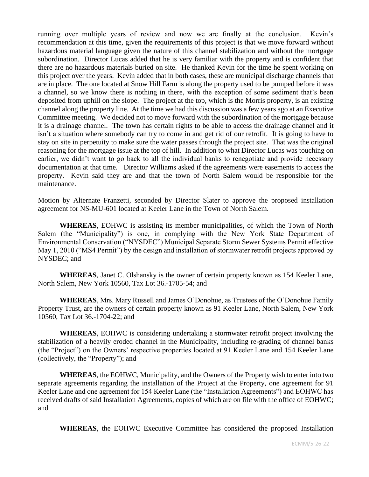running over multiple years of review and now we are finally at the conclusion. Kevin's recommendation at this time, given the requirements of this project is that we move forward without hazardous material language given the nature of this channel stabilization and without the mortgage subordination. Director Lucas added that he is very familiar with the property and is confident that there are no hazardous materials buried on site. He thanked Kevin for the time he spent working on this project over the years. Kevin added that in both cases, these are municipal discharge channels that are in place. The one located at Snow Hill Farm is along the property used to be pumped before it was a channel, so we know there is nothing in there, with the exception of some sediment that's been deposited from uphill on the slope. The project at the top, which is the Morris property, is an existing channel along the property line. At the time we had this discussion was a few years ago at an Executive Committee meeting. We decided not to move forward with the subordination of the mortgage because it is a drainage channel. The town has certain rights to be able to access the drainage channel and it isn't a situation where somebody can try to come in and get rid of our retrofit. It is going to have to stay on site in perpetuity to make sure the water passes through the project site. That was the original reasoning for the mortgage issue at the top of hill. In addition to what Director Lucas was touching on earlier, we didn't want to go back to all the individual banks to renegotiate and provide necessary documentation at that time. Director Williams asked if the agreements were easements to access the property. Kevin said they are and that the town of North Salem would be responsible for the maintenance.

Motion by Alternate Franzetti, seconded by Director Slater to approve the proposed installation agreement for NS-MU-601 located at Keeler Lane in the Town of North Salem.

**WHEREAS**, EOHWC is assisting its member municipalities, of which the Town of North Salem (the "Municipality") is one, in complying with the New York State Department of Environmental Conservation ("NYSDEC") Municipal Separate Storm Sewer Systems Permit effective May 1, 2010 ("MS4 Permit") by the design and installation of stormwater retrofit projects approved by NYSDEC; and

**WHEREAS**, Janet C. Olshansky is the owner of certain property known as 154 Keeler Lane, North Salem, New York 10560, Tax Lot 36.-1705-54; and

**WHEREAS**, Mrs. Mary Russell and James O'Donohue, as Trustees of the O'Donohue Family Property Trust, are the owners of certain property known as 91 Keeler Lane, North Salem, New York 10560, Tax Lot 36.-1704-22; and

**WHEREAS**, EOHWC is considering undertaking a stormwater retrofit project involving the stabilization of a heavily eroded channel in the Municipality, including re-grading of channel banks (the "Project") on the Owners' respective properties located at 91 Keeler Lane and 154 Keeler Lane (collectively, the "Property"); and

**WHEREAS**, the EOHWC, Municipality, and the Owners of the Property wish to enter into two separate agreements regarding the installation of the Project at the Property, one agreement for 91 Keeler Lane and one agreement for 154 Keeler Lane (the "Installation Agreements") and EOHWC has received drafts of said Installation Agreements, copies of which are on file with the office of EOHWC; and

**WHEREAS**, the EOHWC Executive Committee has considered the proposed Installation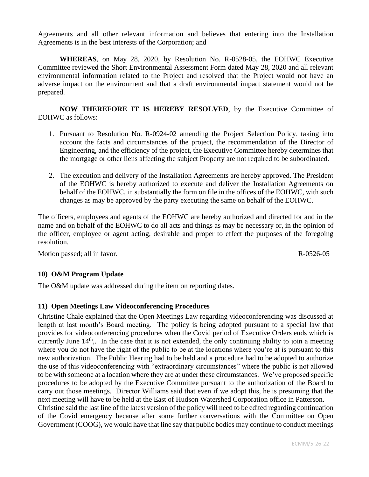Agreements and all other relevant information and believes that entering into the Installation Agreements is in the best interests of the Corporation; and

**WHEREAS**, on May 28, 2020, by Resolution No. R-0528-05, the EOHWC Executive Committee reviewed the Short Environmental Assessment Form dated May 28, 2020 and all relevant environmental information related to the Project and resolved that the Project would not have an adverse impact on the environment and that a draft environmental impact statement would not be prepared.

**NOW THEREFORE IT IS HEREBY RESOLVED**, by the Executive Committee of EOHWC as follows:

- 1. Pursuant to Resolution No. R-0924-02 amending the Project Selection Policy, taking into account the facts and circumstances of the project, the recommendation of the Director of Engineering, and the efficiency of the project, the Executive Committee hereby determines that the mortgage or other liens affecting the subject Property are not required to be subordinated.
- 2. The execution and delivery of the Installation Agreements are hereby approved. The President of the EOHWC is hereby authorized to execute and deliver the Installation Agreements on behalf of the EOHWC, in substantially the form on file in the offices of the EOHWC, with such changes as may be approved by the party executing the same on behalf of the EOHWC.

The officers, employees and agents of the EOHWC are hereby authorized and directed for and in the name and on behalf of the EOHWC to do all acts and things as may be necessary or, in the opinion of the officer, employee or agent acting, desirable and proper to effect the purposes of the foregoing resolution.

Motion passed; all in favor. R-0526-05

## **10) O&M Program Update**

The O&M update was addressed during the item on reporting dates.

## **11) Open Meetings Law Videoconferencing Procedures**

Christine Chale explained that the Open Meetings Law regarding videoconferencing was discussed at length at last month's Board meeting. The policy is being adopted pursuant to a special law that provides for videoconferencing procedures when the Covid period of Executive Orders ends which is currently June  $14<sup>th</sup>$ . In the case that it is not extended, the only continuing ability to join a meeting where you do not have the right of the public to be at the locations where you're at is pursuant to this new authorization. The Public Hearing had to be held and a procedure had to be adopted to authorize the use of this videoconferencing with "extraordinary circumstances" where the public is not allowed to be with someone at a location where they are at under these circumstances. We've proposed specific procedures to be adopted by the Executive Committee pursuant to the authorization of the Board to carry out those meetings. Director Williams said that even if we adopt this, he is presuming that the next meeting will have to be held at the East of Hudson Watershed Corporation office in Patterson. Christine said the last line of the latest version of the policy will need to be edited regarding continuation of the Covid emergency because after some further conversations with the Committee on Open Government (COOG), we would have that line say that public bodies may continue to conduct meetings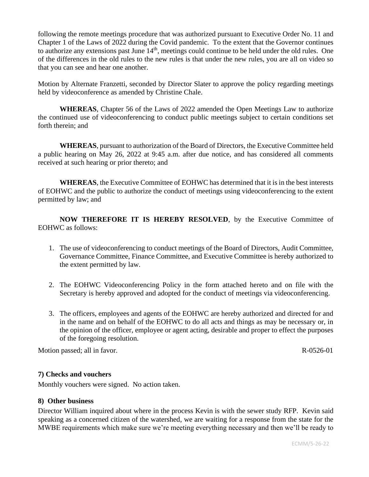following the remote meetings procedure that was authorized pursuant to Executive Order No. 11 and Chapter 1 of the Laws of 2022 during the Covid pandemic. To the extent that the Governor continues to authorize any extensions past June  $14<sup>th</sup>$ , meetings could continue to be held under the old rules. One of the differences in the old rules to the new rules is that under the new rules, you are all on video so that you can see and hear one another.

Motion by Alternate Franzetti, seconded by Director Slater to approve the policy regarding meetings held by videoconference as amended by Christine Chale.

**WHEREAS**, Chapter 56 of the Laws of 2022 amended the Open Meetings Law to authorize the continued use of videoconferencing to conduct public meetings subject to certain conditions set forth therein; and

 **WHEREAS**, pursuant to authorization of the Board of Directors, the Executive Committee held a public hearing on May 26, 2022 at 9:45 a.m. after due notice, and has considered all comments received at such hearing or prior thereto; and

 **WHEREAS**, the Executive Committee of EOHWC has determined that it is in the best interests of EOHWC and the public to authorize the conduct of meetings using videoconferencing to the extent permitted by law; and

**NOW THEREFORE IT IS HEREBY RESOLVED**, by the Executive Committee of EOHWC as follows:

- 1. The use of videoconferencing to conduct meetings of the Board of Directors, Audit Committee, Governance Committee, Finance Committee, and Executive Committee is hereby authorized to the extent permitted by law.
- 2. The EOHWC Videoconferencing Policy in the form attached hereto and on file with the Secretary is hereby approved and adopted for the conduct of meetings via videoconferencing.
- 3. The officers, employees and agents of the EOHWC are hereby authorized and directed for and in the name and on behalf of the EOHWC to do all acts and things as may be necessary or, in the opinion of the officer, employee or agent acting, desirable and proper to effect the purposes of the foregoing resolution.

Motion passed; all in favor. R-0526-01

## **7) Checks and vouchers**

Monthly vouchers were signed. No action taken.

### **8) Other business**

Director William inquired about where in the process Kevin is with the sewer study RFP. Kevin said speaking as a concerned citizen of the watershed, we are waiting for a response from the state for the MWBE requirements which make sure we're meeting everything necessary and then we'll be ready to